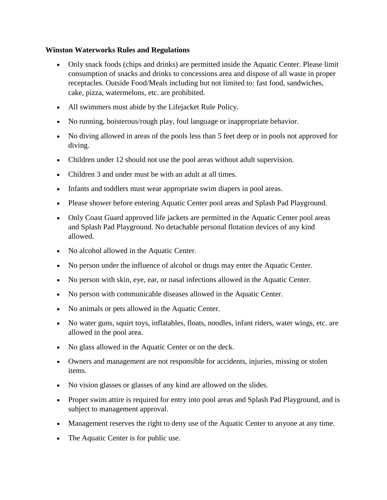### **Winston Waterworks Rules and Regulations**

- Only snack foods (chips and drinks) are permitted inside the Aquatic Center. Please limit consumption of snacks and drinks to concessions area and dispose of all waste in proper receptacles. Outside Food/Meals including but not limited to: fast food, sandwiches, cake, pizza, watermelons, etc. are prohibited.
- All swimmers must abide by the Lifejacket Rule Policy.
- No running, boisterous/rough play, foul language or inappropriate behavior.
- No diving allowed in areas of the pools less than 5 feet deep or in pools not approved for diving.
- Children under 12 should not use the pool areas without adult supervision.
- Children 3 and under must be with an adult at all times.
- Infants and toddlers must wear appropriate swim diapers in pool areas.
- Please shower before entering Aquatic Center pool areas and Splash Pad Playground.
- Only Coast Guard approved life jackets are permitted in the Aquatic Center pool areas and Splash Pad Playground. No detachable personal flotation devices of any kind allowed.
- No alcohol allowed in the Aquatic Center.
- No person under the influence of alcohol or drugs may enter the Aquatic Center.
- No person with skin, eye, ear, or nasal infections allowed in the Aquatic Center.
- No person with communicable diseases allowed in the Aquatic Center.
- No animals or pets allowed in the Aquatic Center.
- No water guns, squirt toys, inflatables, floats, noodles, infant riders, water wings, etc. are allowed in the pool area.
- No glass allowed in the Aquatic Center or on the deck.
- Owners and management are not responsible for accidents, injuries, missing or stolen items.
- No vision glasses or glasses of any kind are allowed on the slides.
- Proper swim attire is required for entry into pool areas and Splash Pad Playground, and is subject to management approval.
- Management reserves the right to deny use of the Aquatic Center to anyone at any time.
- The Aquatic Center is for public use.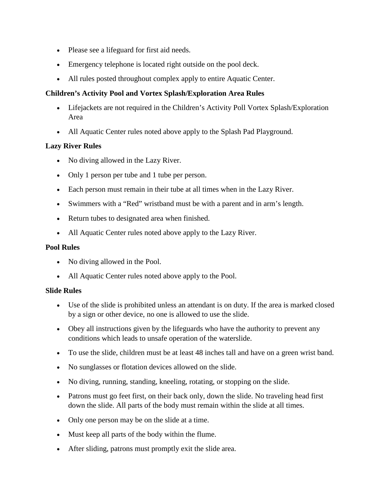- Please see a lifeguard for first aid needs.
- Emergency telephone is located right outside on the pool deck.
- All rules posted throughout complex apply to entire Aquatic Center.

# **Children's Activity Pool and Vortex Splash/Exploration Area Rules**

- Lifejackets are not required in the Children's Activity Poll Vortex Splash/Exploration Area
- All Aquatic Center rules noted above apply to the Splash Pad Playground.

# **Lazy River Rules**

- No diving allowed in the Lazy River.
- Only 1 person per tube and 1 tube per person.
- Each person must remain in their tube at all times when in the Lazy River.
- Swimmers with a "Red" wristband must be with a parent and in arm's length.
- Return tubes to designated area when finished.
- All Aquatic Center rules noted above apply to the Lazy River.

### **Pool Rules**

- No diving allowed in the Pool.
- All Aquatic Center rules noted above apply to the Pool.

# **Slide Rules**

- Use of the slide is prohibited unless an attendant is on duty. If the area is marked closed by a sign or other device, no one is allowed to use the slide.
- Obey all instructions given by the lifeguards who have the authority to prevent any conditions which leads to unsafe operation of the waterslide.
- To use the slide, children must be at least 48 inches tall and have on a green wrist band.
- No sunglasses or flotation devices allowed on the slide.
- No diving, running, standing, kneeling, rotating, or stopping on the slide.
- Patrons must go feet first, on their back only, down the slide. No traveling head first down the slide. All parts of the body must remain within the slide at all times.
- Only one person may be on the slide at a time.
- Must keep all parts of the body within the flume.
- After sliding, patrons must promptly exit the slide area.